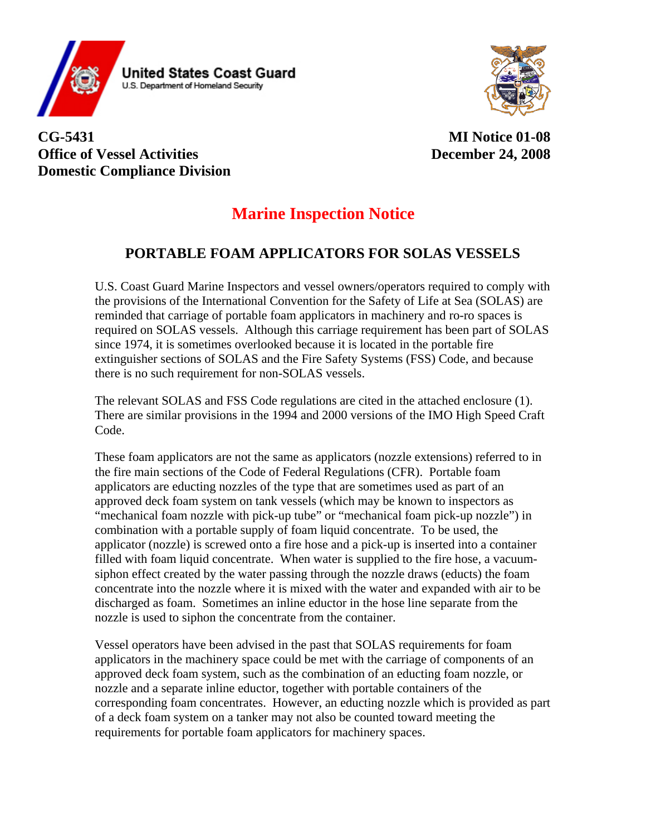

**United States Coast Guard** U.S. Department of Homeland Security



**CG-5431 Office of Vessel Activities Domestic Compliance Division** 

**MI Notice 01-08 December 24, 2008** 

# **Marine Inspection Notice**

## **PORTABLE FOAM APPLICATORS FOR SOLAS VESSELS**

U.S. Coast Guard Marine Inspectors and vessel owners/operators required to comply with the provisions of the International Convention for the Safety of Life at Sea (SOLAS) are reminded that carriage of portable foam applicators in machinery and ro-ro spaces is required on SOLAS vessels. Although this carriage requirement has been part of SOLAS since 1974, it is sometimes overlooked because it is located in the portable fire extinguisher sections of SOLAS and the Fire Safety Systems (FSS) Code, and because there is no such requirement for non-SOLAS vessels.

The relevant SOLAS and FSS Code regulations are cited in the attached enclosure (1). There are similar provisions in the 1994 and 2000 versions of the IMO High Speed Craft Code.

These foam applicators are not the same as applicators (nozzle extensions) referred to in the fire main sections of the Code of Federal Regulations (CFR). Portable foam applicators are educting nozzles of the type that are sometimes used as part of an approved deck foam system on tank vessels (which may be known to inspectors as "mechanical foam nozzle with pick-up tube" or "mechanical foam pick-up nozzle") in combination with a portable supply of foam liquid concentrate. To be used, the applicator (nozzle) is screwed onto a fire hose and a pick-up is inserted into a container filled with foam liquid concentrate. When water is supplied to the fire hose, a vacuumsiphon effect created by the water passing through the nozzle draws (educts) the foam concentrate into the nozzle where it is mixed with the water and expanded with air to be discharged as foam. Sometimes an inline eductor in the hose line separate from the nozzle is used to siphon the concentrate from the container.

Vessel operators have been advised in the past that SOLAS requirements for foam applicators in the machinery space could be met with the carriage of components of an approved deck foam system, such as the combination of an educting foam nozzle, or nozzle and a separate inline eductor, together with portable containers of the corresponding foam concentrates. However, an educting nozzle which is provided as part of a deck foam system on a tanker may not also be counted toward meeting the requirements for portable foam applicators for machinery spaces.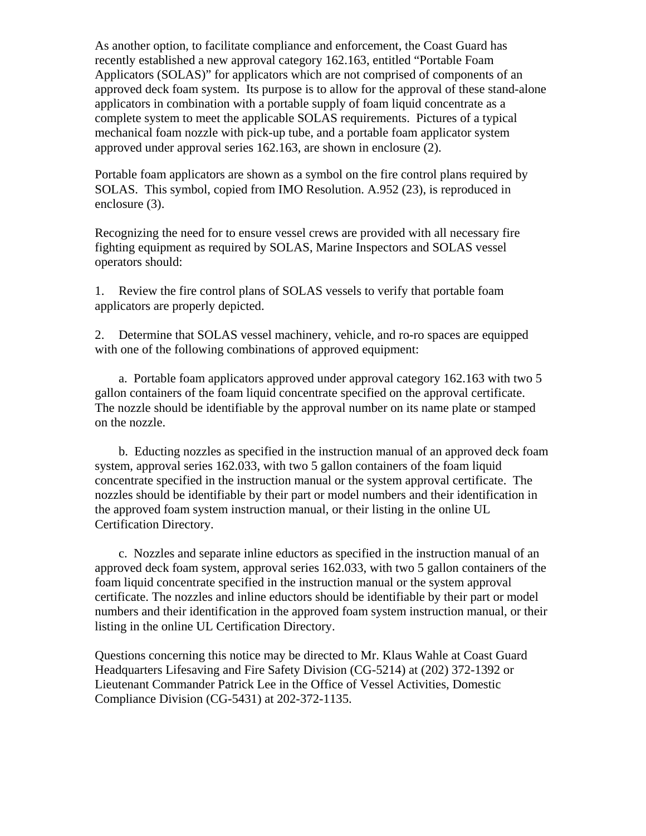As another option, to facilitate compliance and enforcement, the Coast Guard has recently established a new approval category 162.163, entitled "Portable Foam Applicators (SOLAS)" for applicators which are not comprised of components of an approved deck foam system. Its purpose is to allow for the approval of these stand-alone applicators in combination with a portable supply of foam liquid concentrate as a complete system to meet the applicable SOLAS requirements. Pictures of a typical mechanical foam nozzle with pick-up tube, and a portable foam applicator system approved under approval series 162.163, are shown in enclosure (2).

Portable foam applicators are shown as a symbol on the fire control plans required by SOLAS. This symbol, copied from IMO Resolution. A.952 (23), is reproduced in enclosure (3).

Recognizing the need for to ensure vessel crews are provided with all necessary fire fighting equipment as required by SOLAS, Marine Inspectors and SOLAS vessel operators should:

1. Review the fire control plans of SOLAS vessels to verify that portable foam applicators are properly depicted.

2. Determine that SOLAS vessel machinery, vehicle, and ro-ro spaces are equipped with one of the following combinations of approved equipment:

a. Portable foam applicators approved under approval category 162.163 with two 5 gallon containers of the foam liquid concentrate specified on the approval certificate. The nozzle should be identifiable by the approval number on its name plate or stamped on the nozzle.

b. Educting nozzles as specified in the instruction manual of an approved deck foam system, approval series 162.033, with two 5 gallon containers of the foam liquid concentrate specified in the instruction manual or the system approval certificate. The nozzles should be identifiable by their part or model numbers and their identification in the approved foam system instruction manual, or their listing in the online UL Certification Directory.

c. Nozzles and separate inline eductors as specified in the instruction manual of an approved deck foam system, approval series 162.033, with two 5 gallon containers of the foam liquid concentrate specified in the instruction manual or the system approval certificate. The nozzles and inline eductors should be identifiable by their part or model numbers and their identification in the approved foam system instruction manual, or their listing in the online UL Certification Directory.

Questions concerning this notice may be directed to Mr. Klaus Wahle at Coast Guard Headquarters Lifesaving and Fire Safety Division (CG-5214) at (202) 372-1392 or Lieutenant Commander Patrick Lee in the Office of Vessel Activities, Domestic Compliance Division (CG-5431) at 202-372-1135.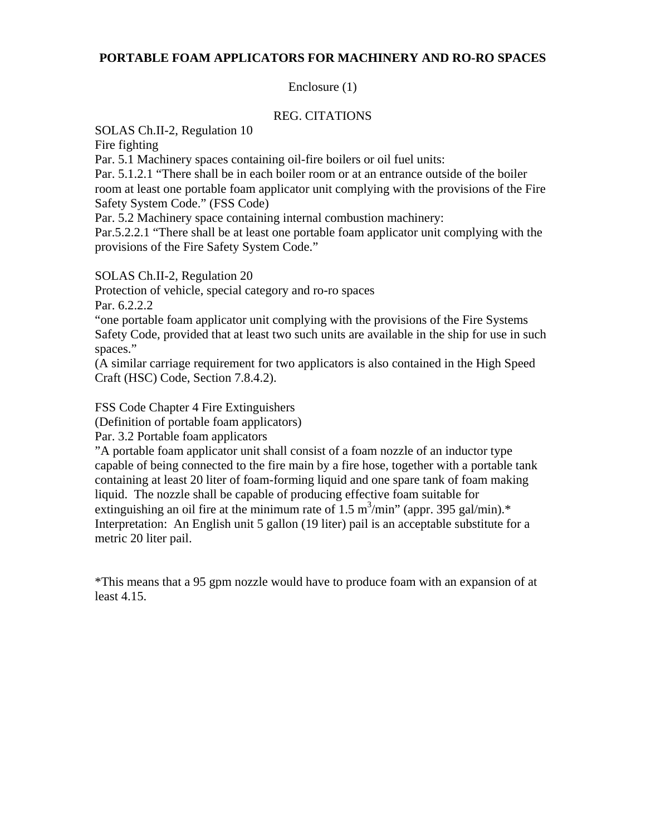#### **PORTABLE FOAM APPLICATORS FOR MACHINERY AND RO-RO SPACES**

#### Enclosure (1)

#### REG. CITATIONS

SOLAS Ch.II-2, Regulation 10

Fire fighting

Par. 5.1 Machinery spaces containing oil-fire boilers or oil fuel units:

Par. 5.1.2.1 "There shall be in each boiler room or at an entrance outside of the boiler room at least one portable foam applicator unit complying with the provisions of the Fire Safety System Code." (FSS Code)

Par. 5.2 Machinery space containing internal combustion machinery:

Par.5.2.2.1 "There shall be at least one portable foam applicator unit complying with the provisions of the Fire Safety System Code."

SOLAS Ch.II-2, Regulation 20

Protection of vehicle, special category and ro-ro spaces

Par. 6.2.2.2

"one portable foam applicator unit complying with the provisions of the Fire Systems Safety Code, provided that at least two such units are available in the ship for use in such spaces."

(A similar carriage requirement for two applicators is also contained in the High Speed Craft (HSC) Code, Section 7.8.4.2).

FSS Code Chapter 4 Fire Extinguishers

(Definition of portable foam applicators)

Par. 3.2 Portable foam applicators

"A portable foam applicator unit shall consist of a foam nozzle of an inductor type capable of being connected to the fire main by a fire hose, together with a portable tank containing at least 20 liter of foam-forming liquid and one spare tank of foam making liquid. The nozzle shall be capable of producing effective foam suitable for extinguishing an oil fire at the minimum rate of  $1.5 \text{ m}^3/\text{min}$  (appr. 395 gal/min).\* Interpretation: An English unit 5 gallon (19 liter) pail is an acceptable substitute for a metric 20 liter pail.

 least 4.15. \*This means that a 95 gpm nozzle would have to produce foam with an expansion of at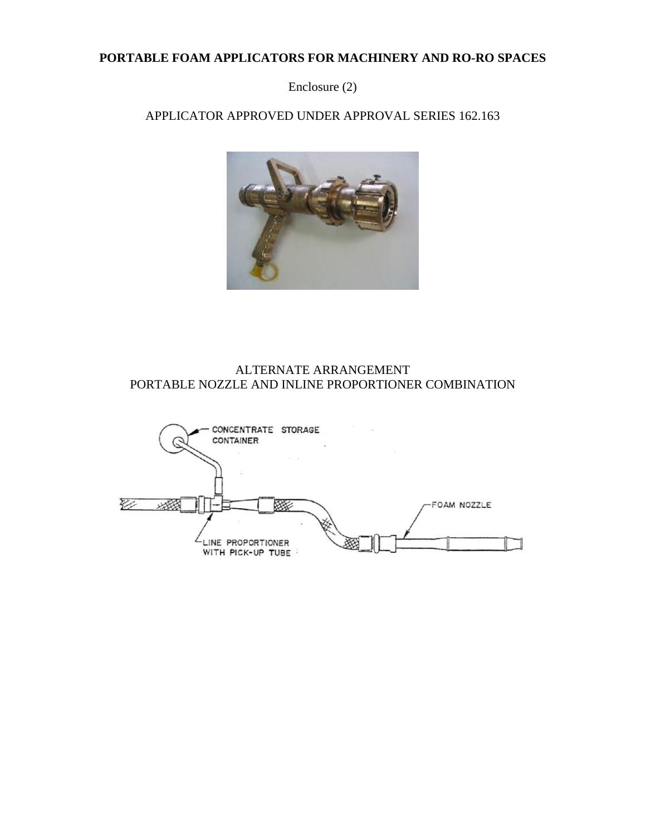#### **PORTABLE FOAM APPLICATORS FOR MACHINERY AND RO-RO SPACES**

Enclosure (2)

APPLICATOR APPROVED UNDER APPROVAL SERIES 162.163



#### ALTERNATE ARRANGEMENT PORTABLE NOZZLE AND INLINE PROPORTIONER COMBINATION